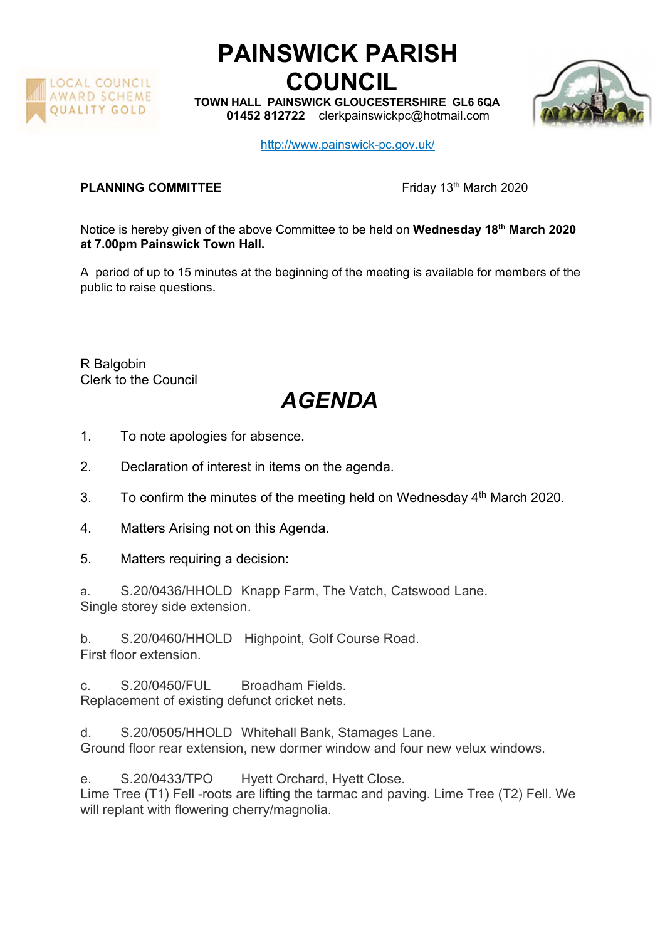

## PAINSWICK PARISH COUNCIL

TOWN HALL PAINSWICK GLOUCESTERSHIRE GL6 6QA 01452 812722 clerkpainswickpc@hotmail.com



http://www.painswick-pc.gov.uk/

## **PLANNING COMMITTEE** Friday 13th March 2020

Notice is hereby given of the above Committee to be held on Wednesday 18<sup>th</sup> March 2020 at 7.00pm Painswick Town Hall.

A period of up to 15 minutes at the beginning of the meeting is available for members of the public to raise questions.

R Balgobin Clerk to the Council

## AGENDA

- 1. To note apologies for absence.
- 2. Declaration of interest in items on the agenda.
- 3. To confirm the minutes of the meeting held on Wednesday  $4<sup>th</sup>$  March 2020.
- 4. Matters Arising not on this Agenda.
- 5. Matters requiring a decision:
- a. S.20/0436/HHOLD Knapp Farm, The Vatch, Catswood Lane. Single storey side extension.

b. S.20/0460/HHOLD Highpoint, Golf Course Road. First floor extension.

c. S.20/0450/FUL Broadham Fields. Replacement of existing defunct cricket nets.

d. S.20/0505/HHOLD Whitehall Bank, Stamages Lane. Ground floor rear extension, new dormer window and four new velux windows.

e. S.20/0433/TPO Hyett Orchard, Hyett Close. Lime Tree (T1) Fell -roots are lifting the tarmac and paving. Lime Tree (T2) Fell. We will replant with flowering cherry/magnolia.